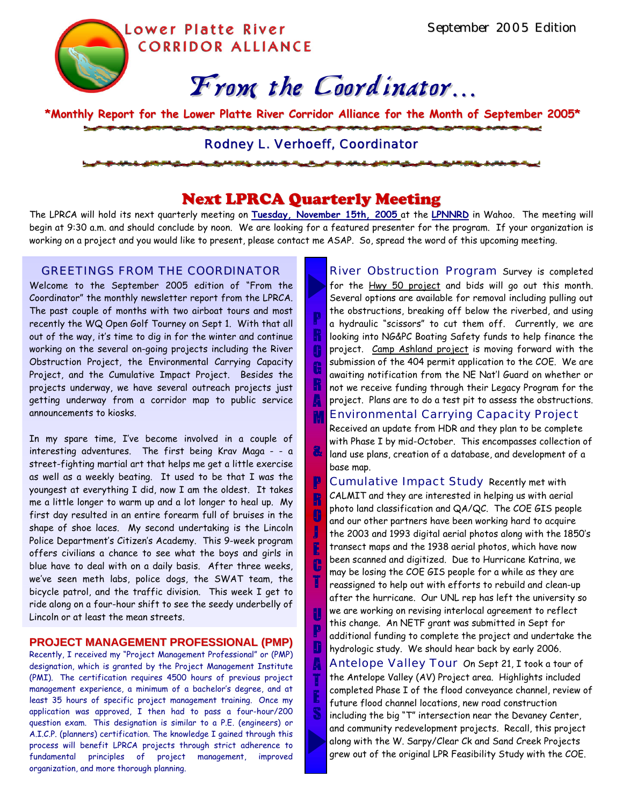Lower Platte River **CORRIDOR ALLIANCE** 

# From the Coordinator…

**\*Monthly Report for the Lower Platte River Corridor Alliance for the Month of September 2005\***

## Rodney L. Verhoeff, Coordinator

# Next LPRCA Quarterly Meeting

The LPRCA will hold its next quarterly meeting on **Tuesday, November 15th, 2005** at the **LPNNRD** in Wahoo. The meeting will begin at 9:30 a.m. and should conclude by noon. We are looking for a featured presenter for the program. If your organization is working on a project and you would like to present, please contact me ASAP. So, spread the word of this upcoming meeting.

> P R O G

A

&

P R  $\mathbb{P}$ J E C T

U P D A T E

### GREETINGS FROM THE COORDINATOR

Welcome to the September 2005 edition of "From the Coordinator" the monthly newsletter report from the LPRCA. The past couple of months with two airboat tours and most recently the WQ Open Golf Tourney on Sept 1. With that all out of the way, it's time to dig in for the winter and continue working on the several on-going projects including the River Obstruction Project, the Environmental Carrying Capacity Project, and the Cumulative Impact Project. Besides the projects underway, we have several outreach projects just getting underway from a corridor map to public service announcements to kiosks.

In my spare time, I've become involved in a couple of interesting adventures. The first being Krav Maga - - a street-fighting martial art that helps me get a little exercise as well as a weekly beating. It used to be that I was the youngest at everything I did, now I am the oldest. It takes me a little longer to warm up and a lot longer to heal up. My first day resulted in an entire forearm full of bruises in the shape of shoe laces. My second undertaking is the Lincoln Police Department's Citizen's Academy. This 9-week program offers civilians a chance to see what the boys and girls in blue have to deal with on a daily basis. After three weeks, we've seen meth labs, police dogs, the SWAT team, the bicycle patrol, and the traffic division. This week I get to ride along on a four-hour shift to see the seedy underbelly of Lincoln or at least the mean streets.

#### **PROJECT MANAGEMENT PROFESSIONAL (PMP)**

Recently, I received my "Project Management Professional" or (PMP) designation, which is granted by the Project Management Institute (PMI). The certification requires 4500 hours of previous project management experience, a minimum of a bachelor's degree, and at least 35 hours of specific project management training. Once my application was approved, I then had to pass a four-hour/200 question exam. This designation is similar to a P.E. (engineers) or A.I.C.P. (planners) certification. The knowledge I gained through this process will benefit LPRCA projects through strict adherence to fundamental principles of project management, improved organization, and more thorough planning.

M River Obstruction Program Survey is completed for the Hwy 50 project and bids will go out this month. Several options are available for removal including pulling out the obstructions, breaking off below the riverbed, and using a hydraulic "scissors" to cut them off. Currently, we are looking into NG&PC Boating Safety funds to help finance the project. Camp Ashland project is moving forward with the submission of the 404 permit application to the COE. We are awaiting notification from the NE Nat'l Guard on whether or not we receive funding through their Legacy Program for the project. Plans are to do a test pit to assess the obstructions.

## Environmental Carrying Capacity Project

Received an update from HDR and they plan to be complete with Phase I by mid-October. This encompasses collection of land use plans, creation of a database, and development of a base map.

Cumulative Impact Study Recently met with CALMIT and they are interested in helping us with aerial photo land classification and QA/QC. The COE GIS people and our other partners have been working hard to acquire the 2003 and 1993 digital aerial photos along with the 1850's transect maps and the 1938 aerial photos, which have now been scanned and digitized. Due to Hurricane Katrina, we may be losing the COE GIS people for a while as they are reassigned to help out with efforts to rebuild and clean-up after the hurricane. Our UNL rep has left the university so we are working on revising interlocal agreement to reflect this change. An NETF grant was submitted in Sept for additional funding to complete the project and undertake the hydrologic study. We should hear back by early 2006.

Antelope Valley Tour On Sept 21, I took a tour of the Antelope Valley (AV) Project area. Highlights included completed Phase I of the flood conveyance channel, review of future flood channel locations, new road construction including the big "T" intersection near the Devaney Center, and community redevelopment projects. Recall, this project along with the W. Sarpy/Clear Ck and Sand Creek Projects grew out of the original LPR Feasibility Study with the COE.